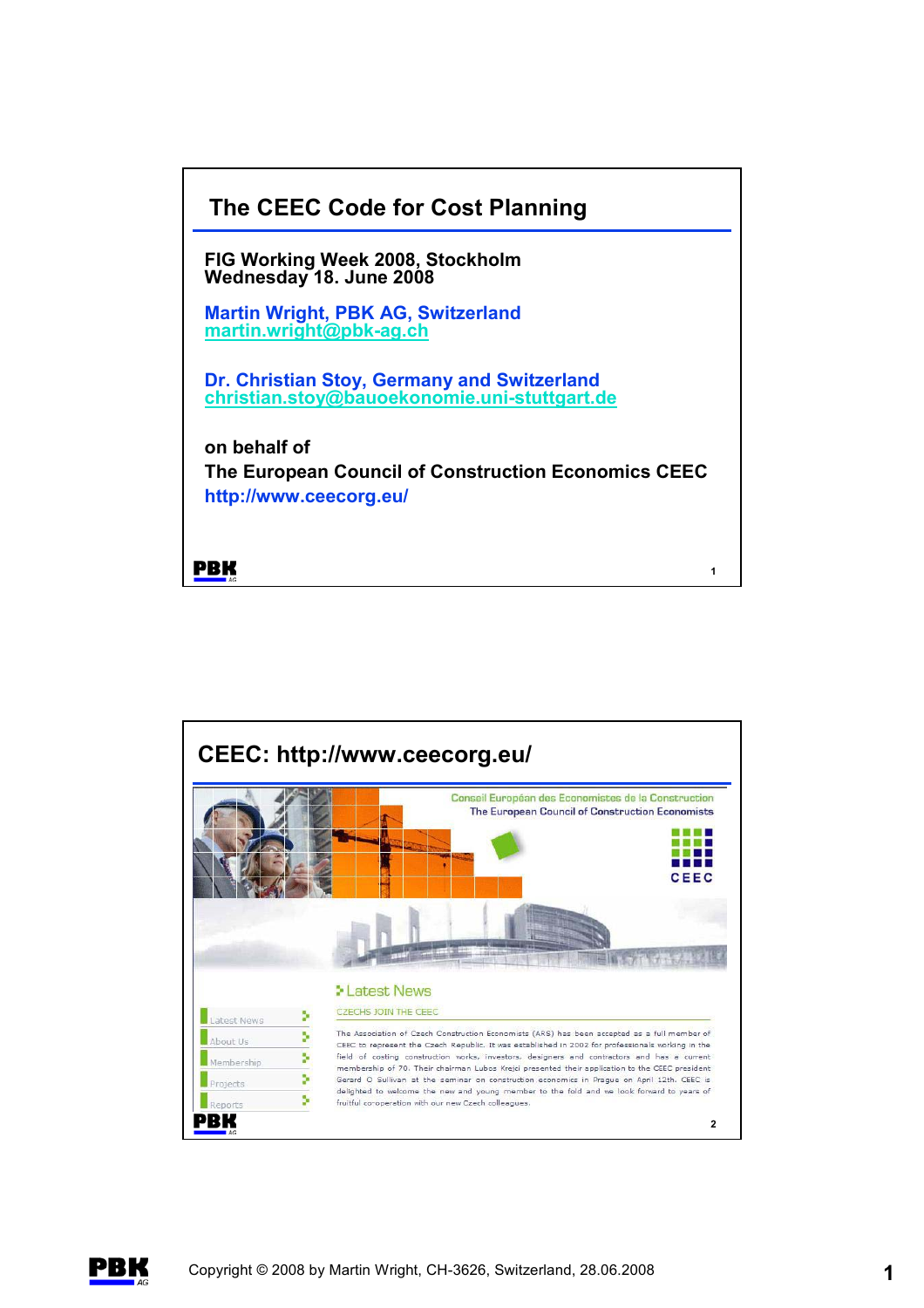



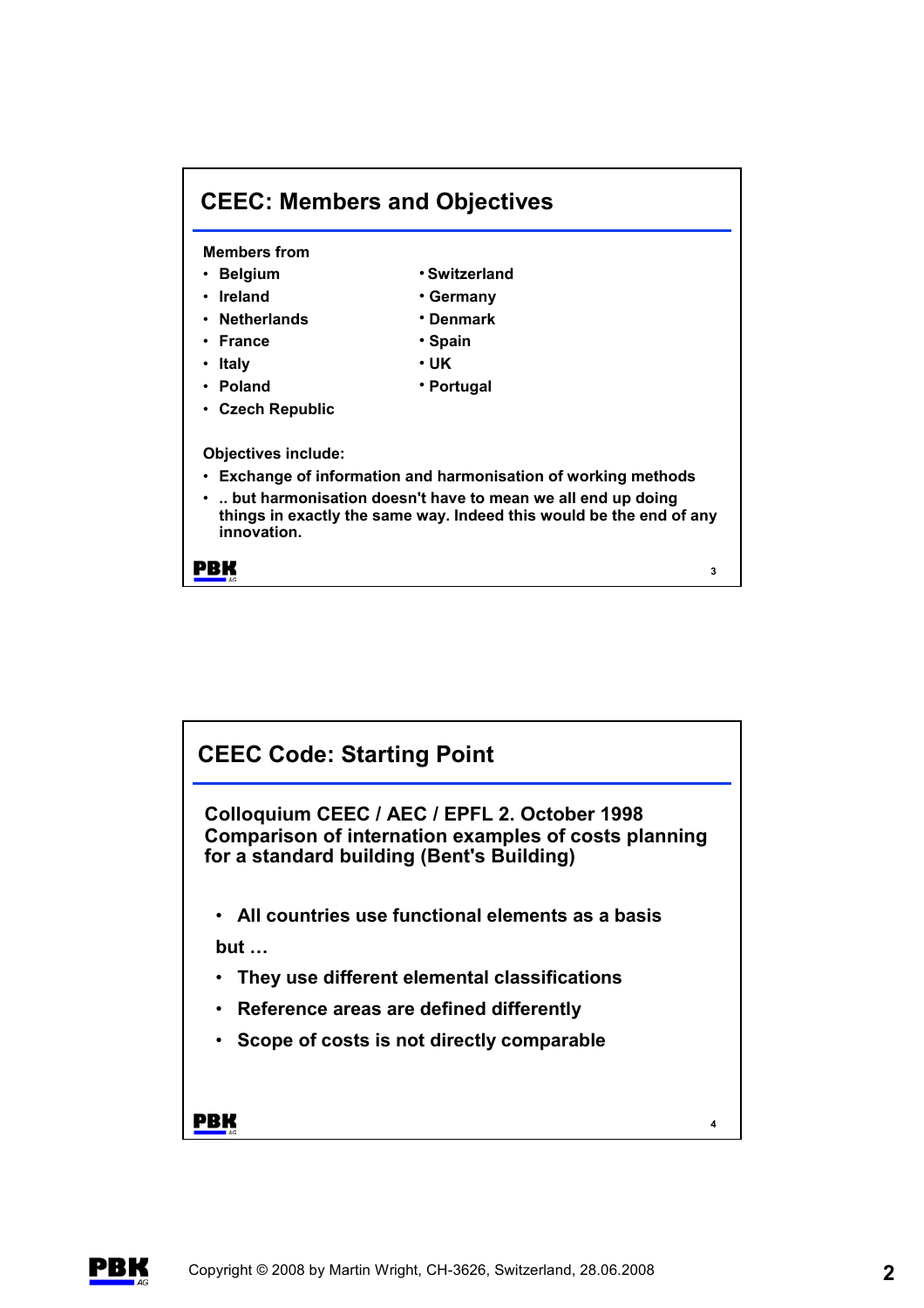

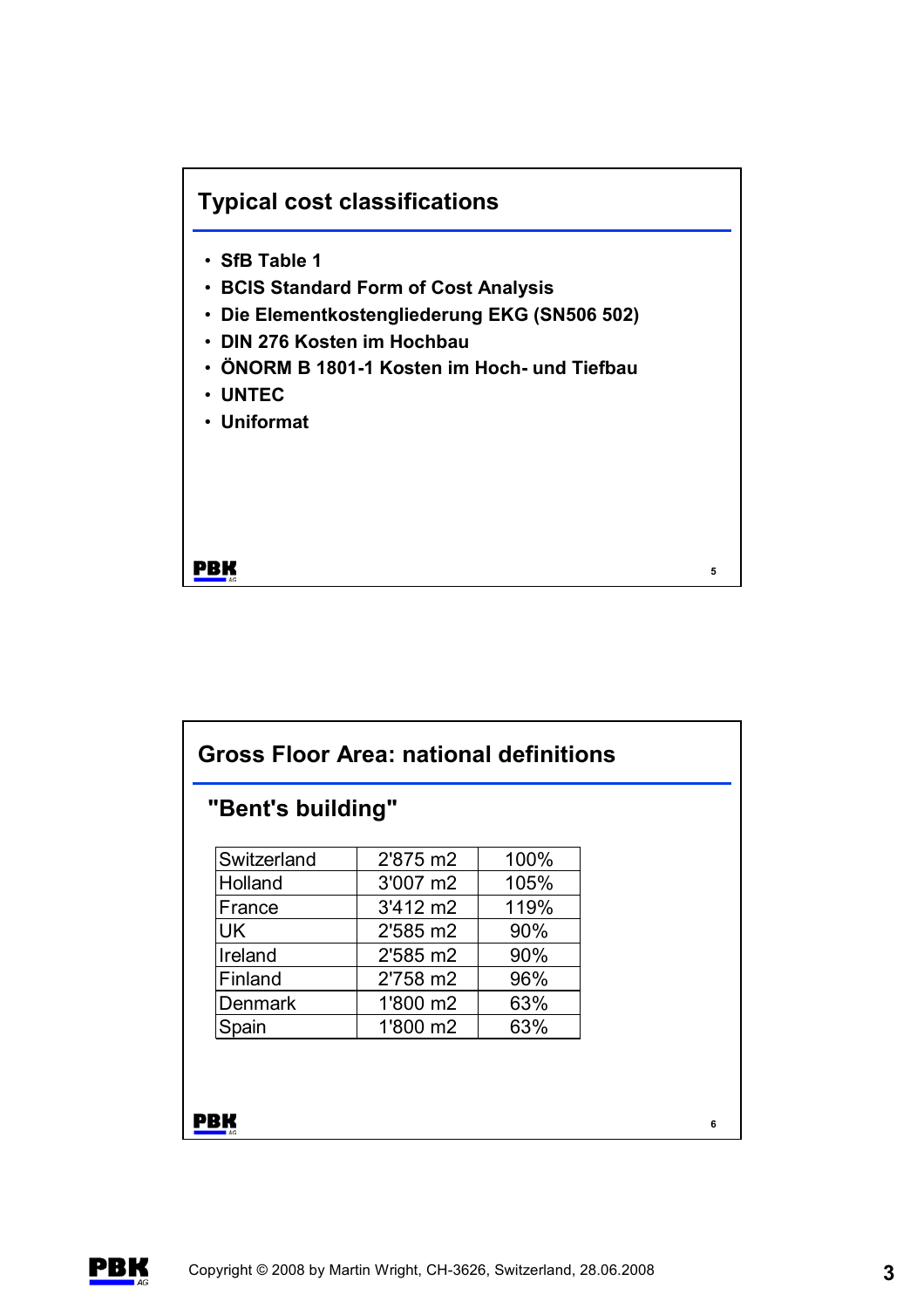## **Typical cost classifications**

- **SfB Table 1**
- **BCIS Standard Form of Cost Analysis**
- **Die Elementkostengliederung EKG (SN506 502)**
- **DIN 276 Kosten im Hochbau**
- **ÖNORM B 1801-1 Kosten im Hoch- und Tiefbau**
- **UNTEC**
- **Uniformat**

**PBK** 

| "Bent's building" |                    |      |  |
|-------------------|--------------------|------|--|
| Switzerland       | 2'875 m2           | 100% |  |
| Holland           | 3'007 m2           | 105% |  |
| France            | $3'412 \text{ m}2$ | 119% |  |
| UK                | 2'585 m2           | 90%  |  |
| Ireland           | 2'585 m2           | 90%  |  |
| Finland           | 2'758 m2           | 96%  |  |
| <b>Denmark</b>    | 1'800 m2           | 63%  |  |
| Spain             | 1'800 m2           | 63%  |  |

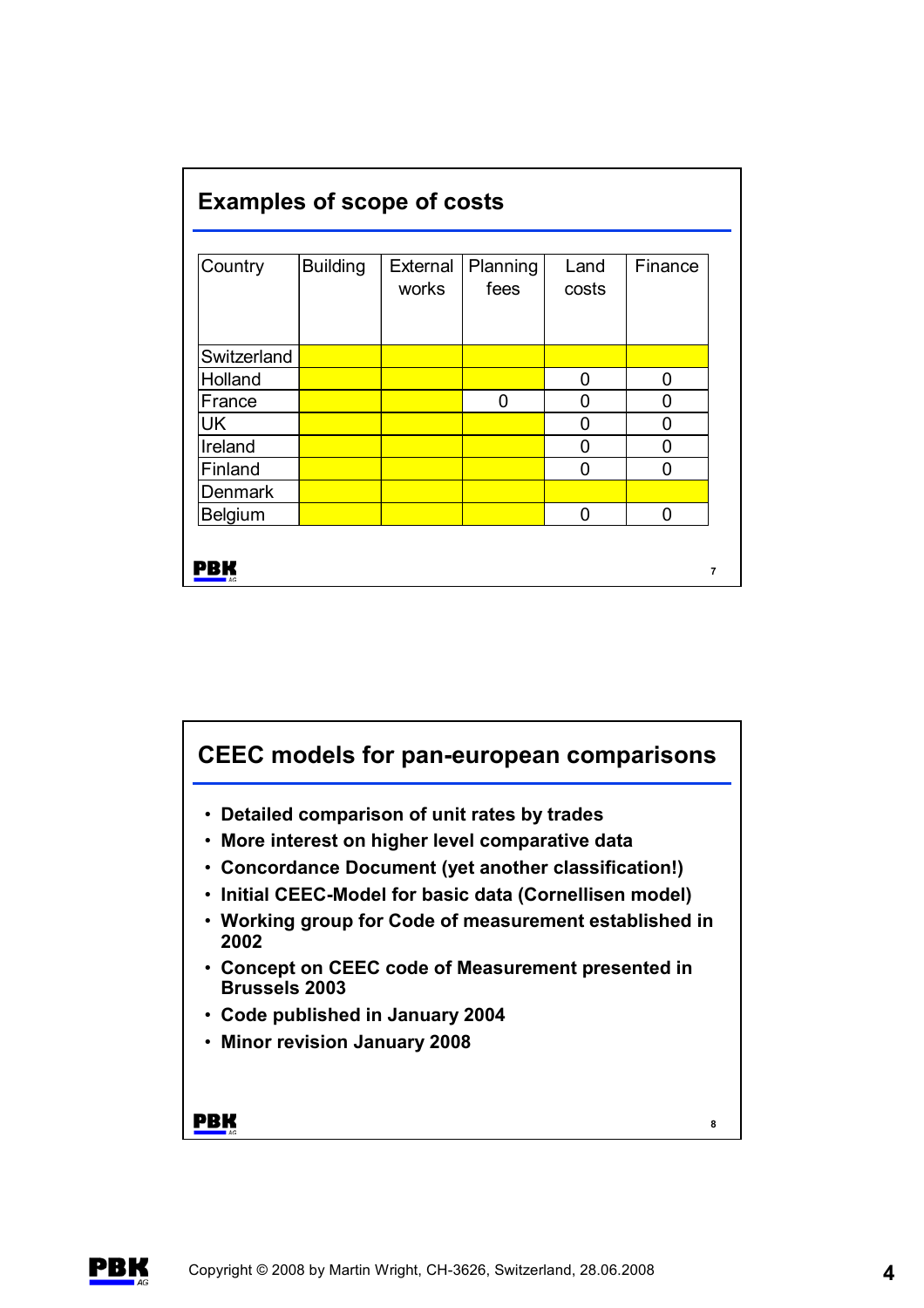| <b>Examples of scope of costs</b> |                 |                   |                  |               |         |  |  |  |
|-----------------------------------|-----------------|-------------------|------------------|---------------|---------|--|--|--|
| Country                           | <b>Building</b> | External<br>works | Planning<br>fees | Land<br>costs | Finance |  |  |  |
| Switzerland                       |                 |                   |                  |               |         |  |  |  |
| Holland                           |                 |                   |                  | 0             | 0       |  |  |  |
| France                            |                 |                   | 0                | 0             | 0       |  |  |  |
| <b>UK</b>                         |                 |                   |                  | 0             | O       |  |  |  |
| Ireland                           |                 |                   |                  | 0             | 0       |  |  |  |
| Finland                           |                 |                   |                  | 0             | 0       |  |  |  |
| <b>Denmark</b>                    |                 |                   |                  |               |         |  |  |  |
| <b>Belgium</b>                    |                 |                   |                  | 0             | 0       |  |  |  |

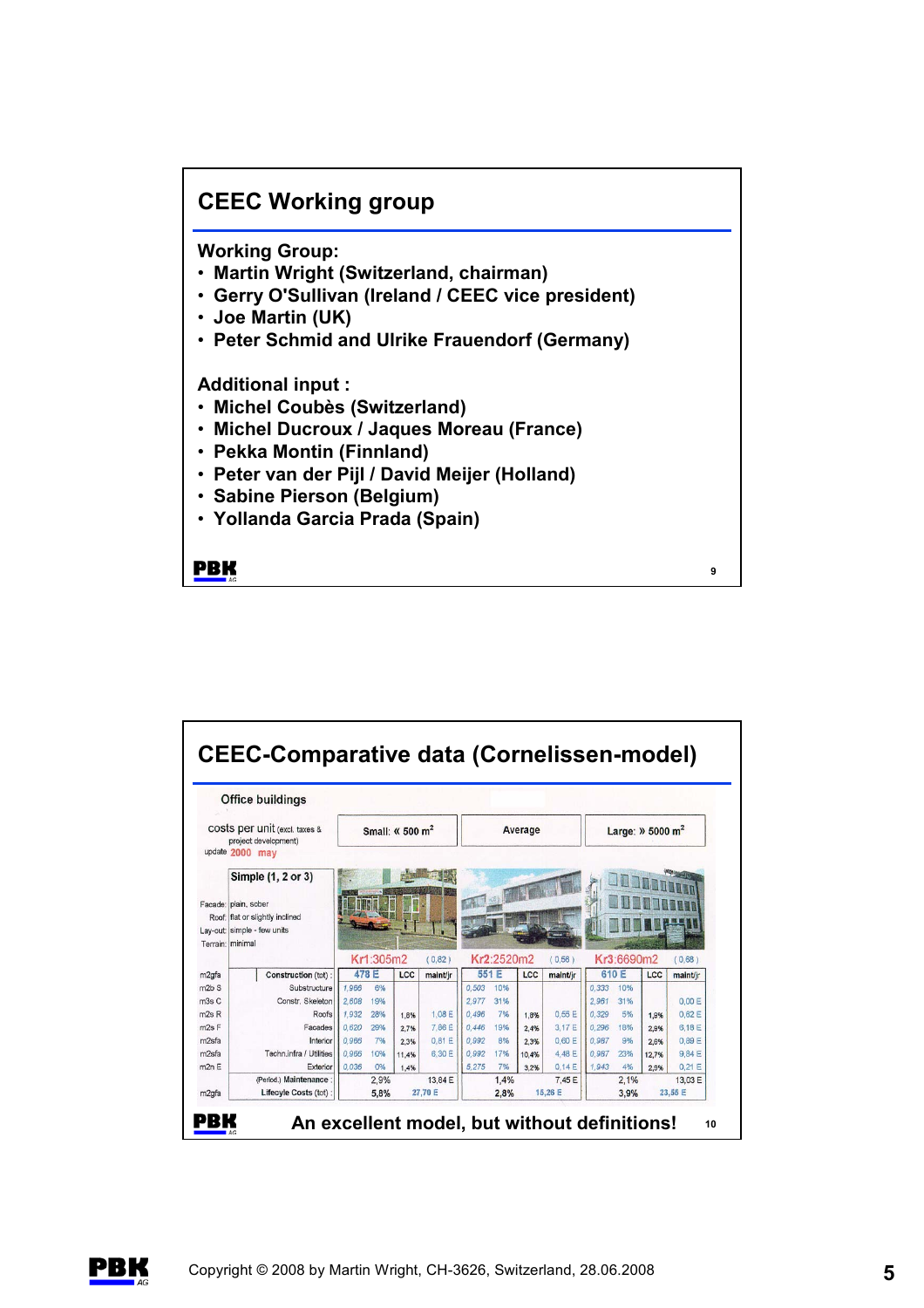## **CEEC Working group**

**Working Group:**

- **Martin Wright (Switzerland, chairman)**
- **Gerry O'Sullivan (Ireland / CEEC vice president)**
- **Joe Martin (UK)**
- **Peter Schmid and Ulrike Frauendorf (Germany)**

**Additional input :**

- **Michel Coubès (Switzerland)**
- **Michel Ducroux / Jaques Moreau (France)**
- **Pekka Montin (Finnland)**
- **Peter van der Pijl / David Meijer (Holland)**
- **Sabine Pierson (Belgium)**
- **Yollanda Garcia Prada (Spain)**

**PBK** 



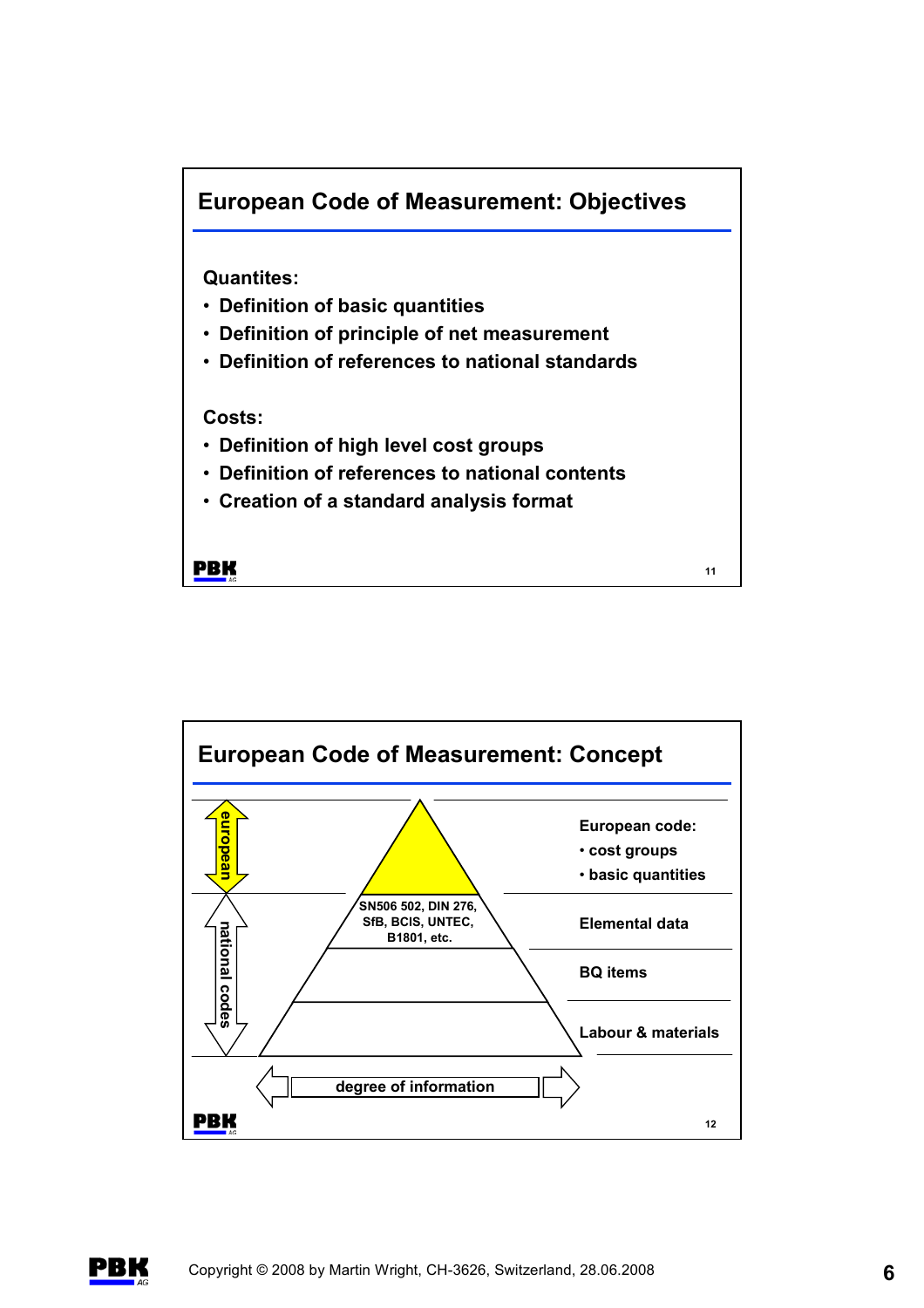



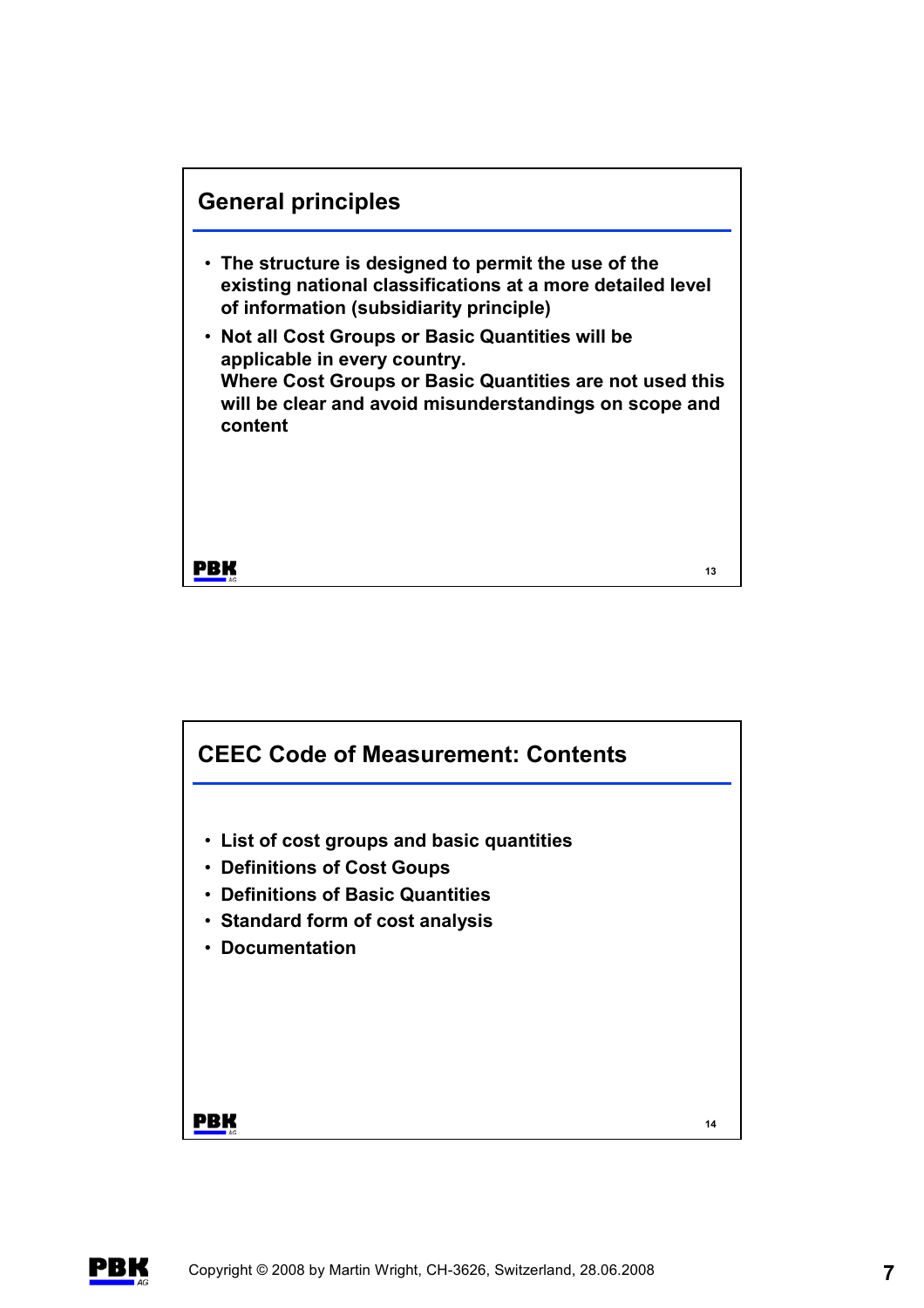



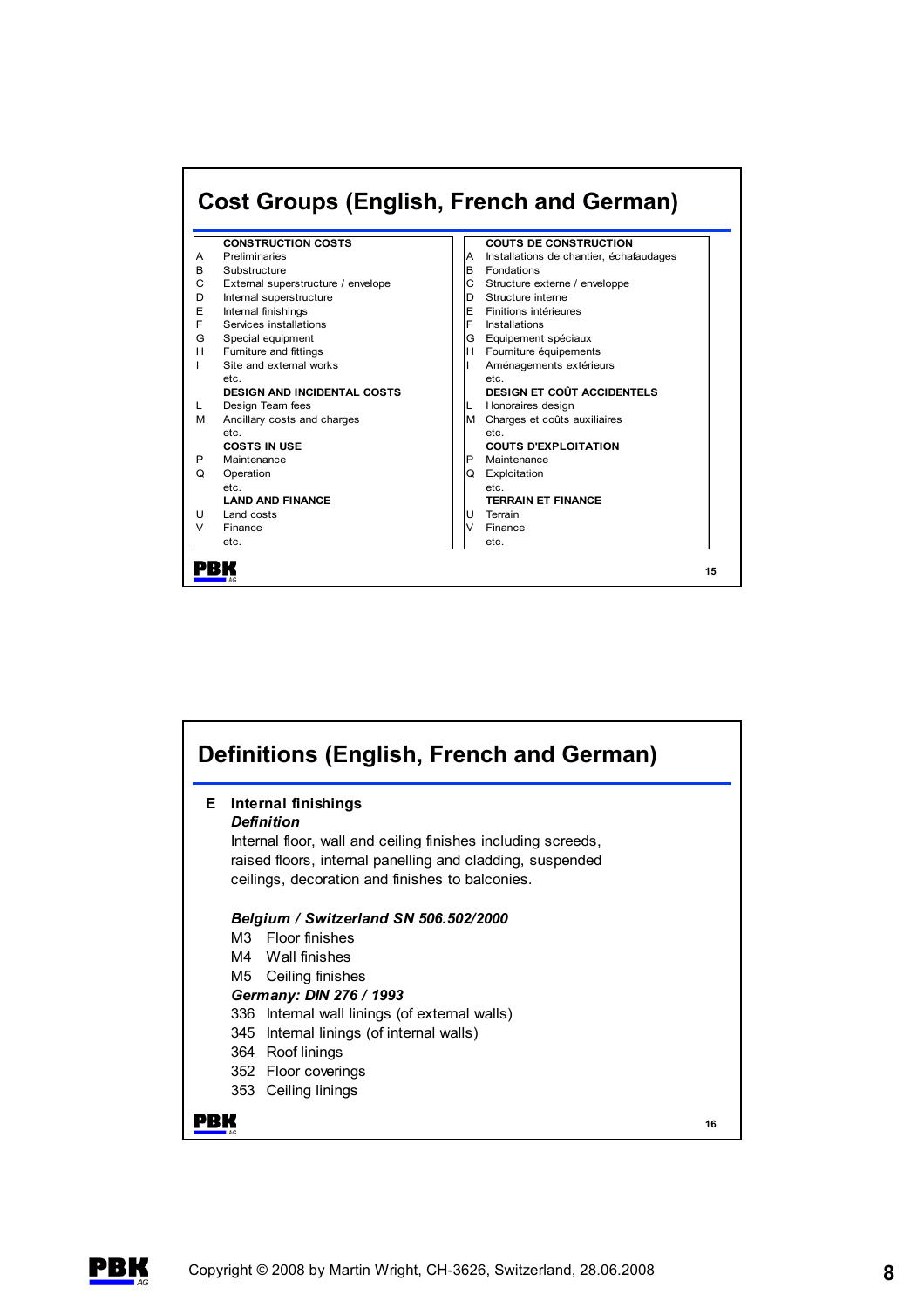



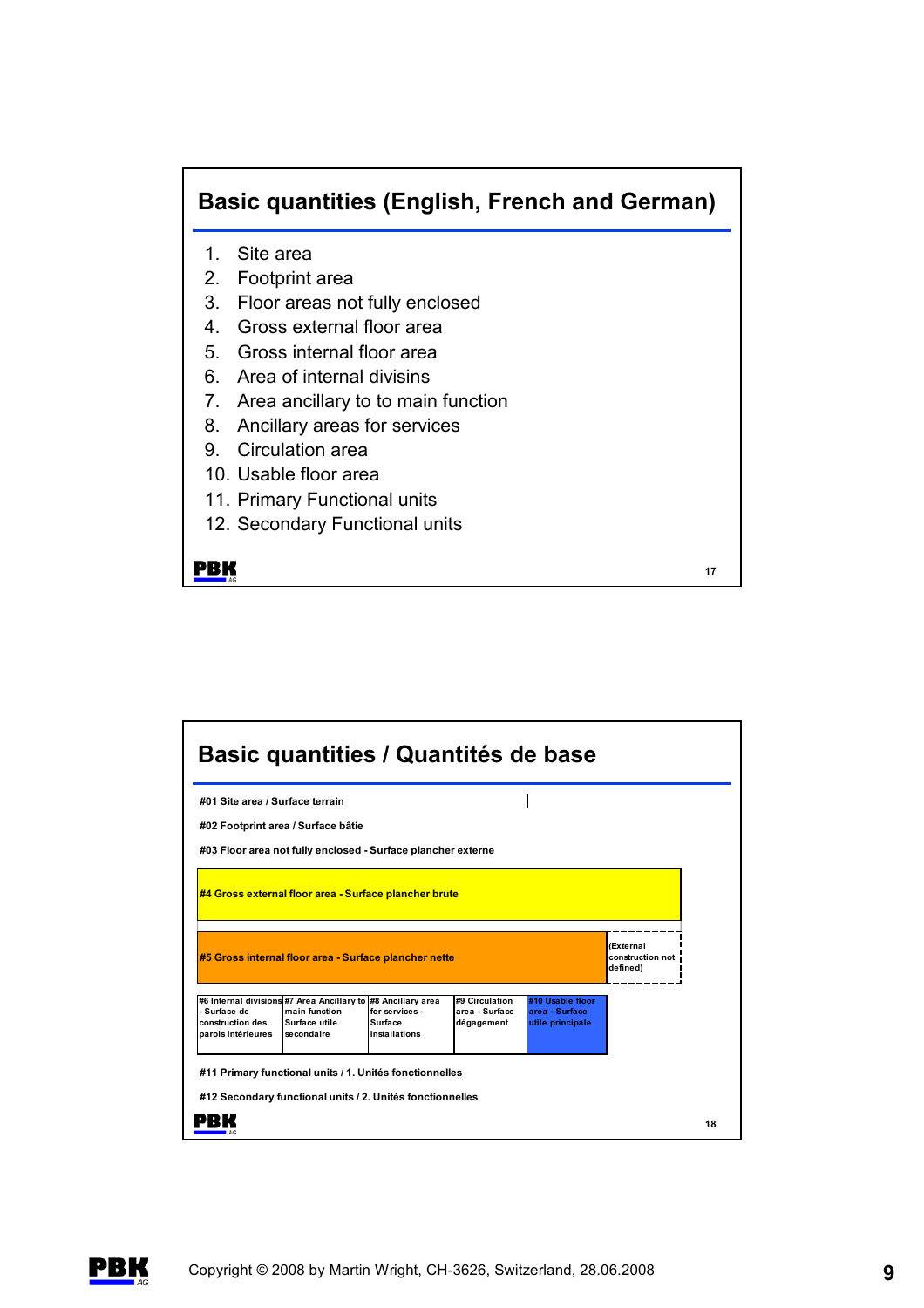## **Basic quantities (English, French and German)**

- 1. Site area
- 2. Footprint area
- 3. Floor areas not fully enclosed
- 4. Gross external floor area
- 5. Gross internal floor area
- 6. Area of internal divisins
- 7. Area ancillary to to main function
- 8. Ancillary areas for services
- 9. Circulation area
- 10. Usable floor area
- 11. Primary Functional units
- 12. Secondary Functional units

**PBK** 

| #01 Site area / Surface terrain                              |  |                                           |
|--------------------------------------------------------------|--|-------------------------------------------|
| #02 Footprint area / Surface bâtie                           |  |                                           |
| #03 Floor area not fully enclosed - Surface plancher externe |  |                                           |
| #4 Gross external floor area - Surface plancher brute        |  |                                           |
|                                                              |  |                                           |
| #5 Gross internal floor area - Surface plancher nette        |  | (External<br>construction not<br>defined) |
|                                                              |  |                                           |

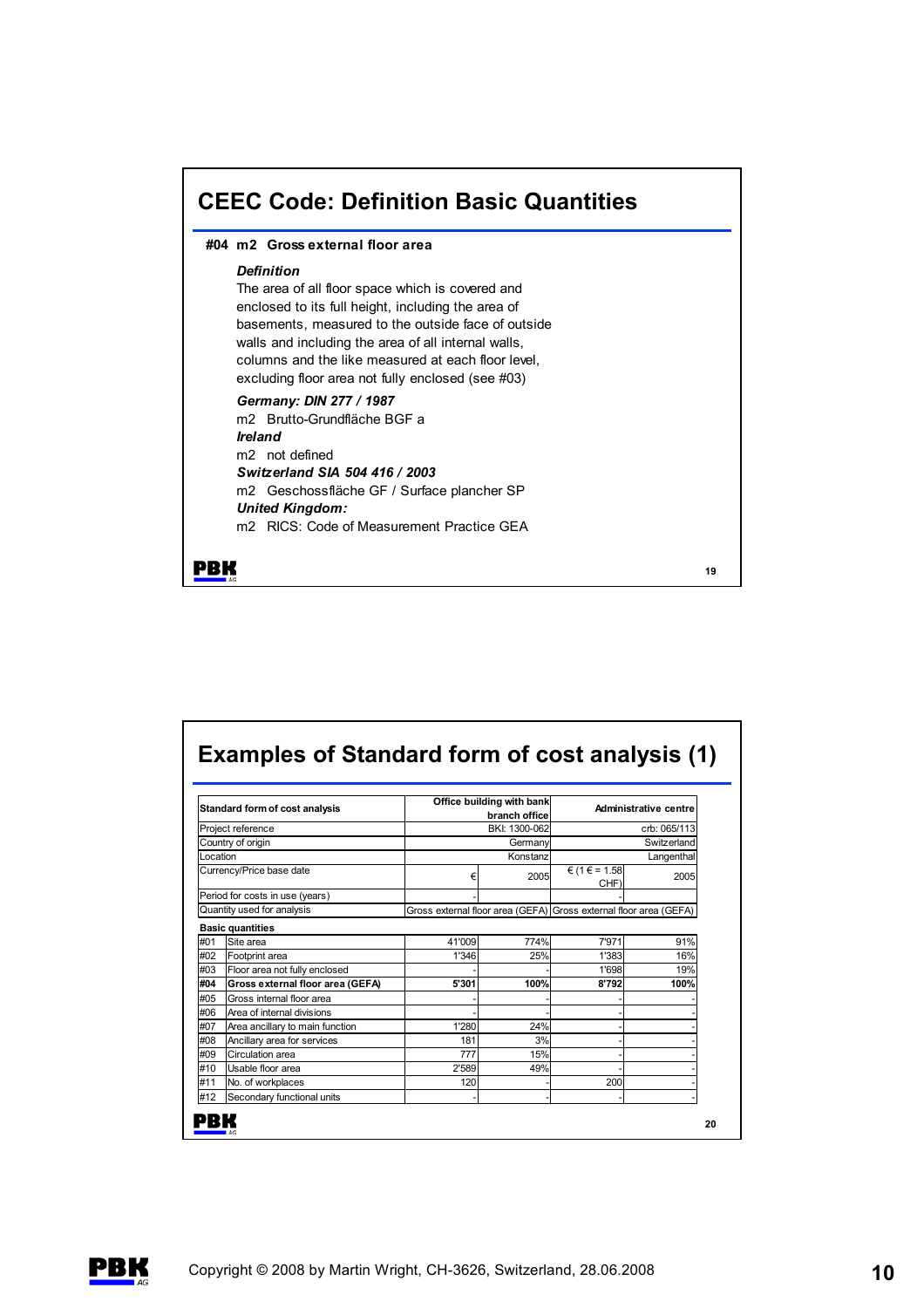

| Standard form of cost analysis |                                  |                     | Office building with bank<br>branch office | Administrative centre                                             |              |  |
|--------------------------------|----------------------------------|---------------------|--------------------------------------------|-------------------------------------------------------------------|--------------|--|
|                                | Project reference                |                     | BKI: 1300-062                              |                                                                   | crb: 065/113 |  |
|                                | Country of origin                | Germany<br>Konstanz |                                            | Switzerland<br>Langenthal                                         |              |  |
| Location                       |                                  |                     |                                            |                                                                   |              |  |
|                                | Currency/Price base date         | €                   | 2005                                       | $€ (1 € = 1.58)$<br>CHF)                                          | 2005         |  |
|                                | Period for costs in use (years)  |                     |                                            |                                                                   |              |  |
|                                | Quantity used for analysis       |                     |                                            | Gross external floor area (GEFA) Gross external floor area (GEFA) |              |  |
|                                | <b>Basic quantities</b>          |                     |                                            |                                                                   |              |  |
| #01                            | Site area                        | 41'009              | 774%                                       | 7'971                                                             | 91%          |  |
| #02                            | Footprint area                   | 1'346               | 25%                                        | 1'383                                                             | 16%          |  |
| #03                            | Floor area not fully enclosed    |                     |                                            | 1'698                                                             | 19%          |  |
| #04                            | Gross external floor area (GEFA) | 5'301               | 100%                                       | 8'792                                                             | 100%         |  |
| #05                            | Gross internal floor area        |                     |                                            |                                                                   |              |  |
| #06                            | Area of internal divisions       |                     |                                            |                                                                   |              |  |
| #07                            | Area ancillary to main function  | 1'280               | 24%                                        |                                                                   |              |  |
| #08                            | Ancillary area for services      | 181                 | 3%                                         |                                                                   |              |  |
| #09                            | Circulation area                 | 777                 | 15%                                        |                                                                   |              |  |
| #10                            | Usable floor area                | 2'589               | 49%                                        |                                                                   |              |  |
| #11                            | No. of workplaces                | 120                 |                                            | 200                                                               |              |  |
|                                | Secondary functional units       |                     |                                            |                                                                   |              |  |

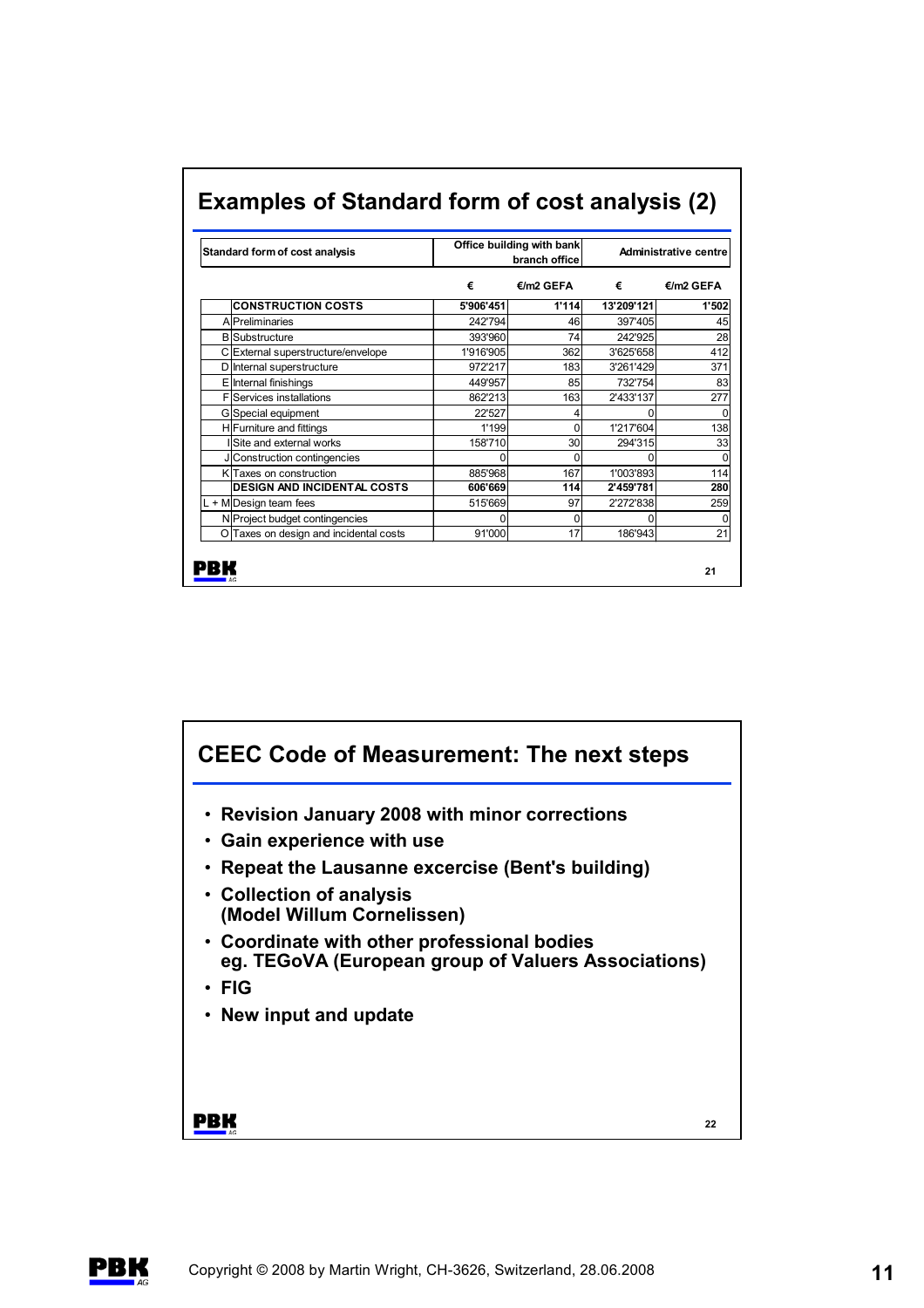|   |           | Administrative centre                 |                                                                                                             |  |
|---|-----------|---------------------------------------|-------------------------------------------------------------------------------------------------------------|--|
| € | €/m2 GEFA | €                                     | €/m2 GEFA                                                                                                   |  |
|   |           | 13'209'121                            | 1'502                                                                                                       |  |
|   |           | 397'405                               | 45                                                                                                          |  |
|   |           | 242'925                               | 28                                                                                                          |  |
|   |           | 5'906'451<br>242'794<br>46<br>393'960 | Examples of Standard form of cost analysis (2)<br>Office building with bank<br>branch office<br>1'114<br>74 |  |

C External superstructure/envelope 1'916'905 362 3'625'658 412<br>
D Internal superstructure 972'217 183 3'261'429 371 D Internal superstructure 1972'217 372217 183 3'261'429 371 E | Internal finishings | 449'957 | 85 732'754 83 F Services installations 163 2'433'137 277 G Special equipment 1 22'527 4 0 0 H Furniture and fittings 1199 1199 1199 11217'604 138 I Site and external works 158'710 30 294'315 33 J Construction contingencies and the content of the content of the content of the content of the content of the content of the content of the content of the content of the content of the content of the content of the conte K Taxes on construction **14** 1885'968 167 1'003'893 114 **DESIGN AND INCIDENTAL COSTS 606'669 114 2'459'781 280** L + M Design team fees 259 315'669 37 2'272'838 259 N Project budget contingencies and the continues of the continues of the continues of the continues of the continues of the continues of the continues of the continues of the continues of the continues of the continues of O Taxes on design and incidental costs 91'000 17 186'943 21

**21**

## **Examples of Standard form of cost analysis (2)**





**PBK**